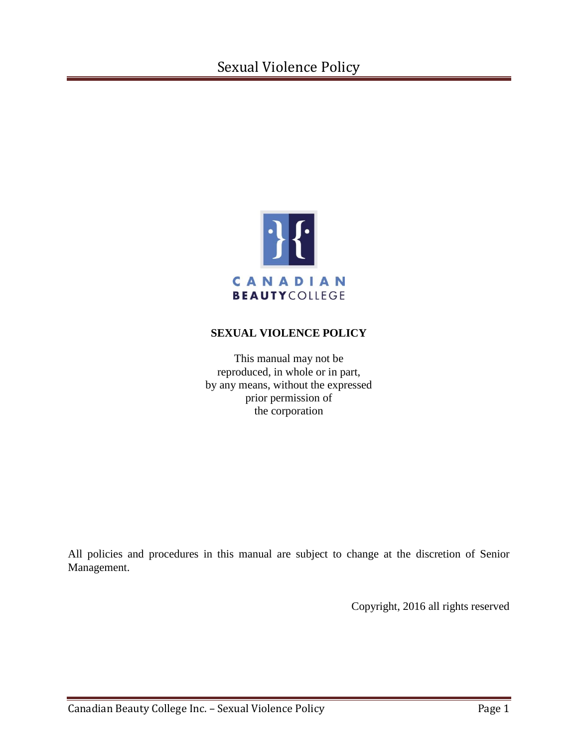# Sexual Violence Policy



# **SEXUAL VIOLENCE POLICY**

This manual may not be reproduced, in whole or in part, by any means, without the expressed prior permission of the corporation

All policies and procedures in this manual are subject to change at the discretion of Senior Management.

Copyright, 2016 all rights reserved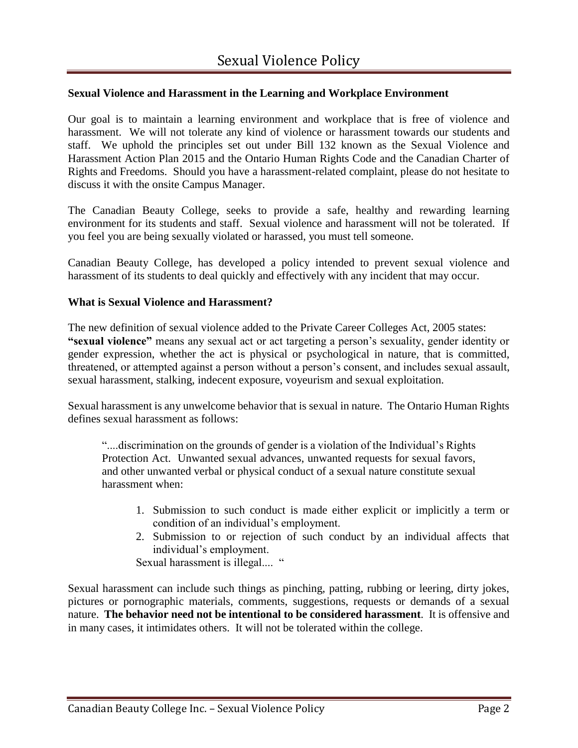# **Sexual Violence and Harassment in the Learning and Workplace Environment**

Our goal is to maintain a learning environment and workplace that is free of violence and harassment. We will not tolerate any kind of violence or harassment towards our students and staff. We uphold the principles set out under Bill 132 known as the Sexual Violence and Harassment Action Plan 2015 and the Ontario Human Rights Code and the Canadian Charter of Rights and Freedoms. Should you have a harassment-related complaint, please do not hesitate to discuss it with the onsite Campus Manager.

The Canadian Beauty College, seeks to provide a safe, healthy and rewarding learning environment for its students and staff. Sexual violence and harassment will not be tolerated. If you feel you are being sexually violated or harassed, you must tell someone.

Canadian Beauty College, has developed a policy intended to prevent sexual violence and harassment of its students to deal quickly and effectively with any incident that may occur.

#### **What is Sexual Violence and Harassment?**

The new definition of sexual violence added to the Private Career Colleges Act, 2005 states: **"sexual violence"** means any sexual act or act targeting a person's sexuality, gender identity or gender expression, whether the act is physical or psychological in nature, that is committed, threatened, or attempted against a person without a person's consent, and includes sexual assault, sexual harassment, stalking, indecent exposure, voyeurism and sexual exploitation.

Sexual harassment is any unwelcome behavior that is sexual in nature. The Ontario Human Rights defines sexual harassment as follows:

"....discrimination on the grounds of gender is a violation of the Individual's Rights Protection Act. Unwanted sexual advances, unwanted requests for sexual favors, and other unwanted verbal or physical conduct of a sexual nature constitute sexual harassment when:

- 1. Submission to such conduct is made either explicit or implicitly a term or condition of an individual's employment.
- 2. Submission to or rejection of such conduct by an individual affects that individual's employment.

Sexual harassment is illegal.... "

Sexual harassment can include such things as pinching, patting, rubbing or leering, dirty jokes, pictures or pornographic materials, comments, suggestions, requests or demands of a sexual nature. **The behavior need not be intentional to be considered harassment**. It is offensive and in many cases, it intimidates others. It will not be tolerated within the college.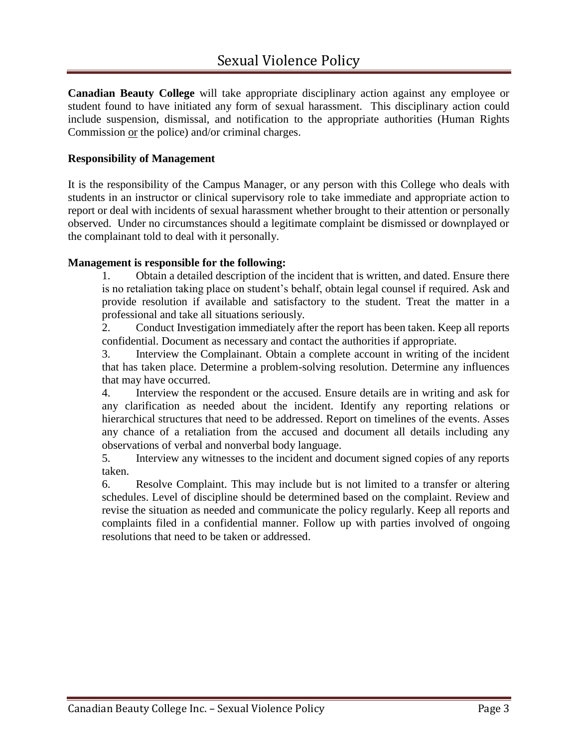**Canadian Beauty College** will take appropriate disciplinary action against any employee or student found to have initiated any form of sexual harassment. This disciplinary action could include suspension, dismissal, and notification to the appropriate authorities (Human Rights Commission or the police) and/or criminal charges.

# **Responsibility of Management**

It is the responsibility of the Campus Manager, or any person with this College who deals with students in an instructor or clinical supervisory role to take immediate and appropriate action to report or deal with incidents of sexual harassment whether brought to their attention or personally observed. Under no circumstances should a legitimate complaint be dismissed or downplayed or the complainant told to deal with it personally.

## **Management is responsible for the following:**

1. Obtain a detailed description of the incident that is written, and dated. Ensure there is no retaliation taking place on student's behalf, obtain legal counsel if required. Ask and provide resolution if available and satisfactory to the student. Treat the matter in a professional and take all situations seriously.

2. Conduct Investigation immediately after the report has been taken. Keep all reports confidential. Document as necessary and contact the authorities if appropriate.

3. Interview the Complainant. Obtain a complete account in writing of the incident that has taken place. Determine a problem-solving resolution. Determine any influences that may have occurred.

4. Interview the respondent or the accused. Ensure details are in writing and ask for any clarification as needed about the incident. Identify any reporting relations or hierarchical structures that need to be addressed. Report on timelines of the events. Asses any chance of a retaliation from the accused and document all details including any observations of verbal and nonverbal body language.

5. Interview any witnesses to the incident and document signed copies of any reports taken.

6. Resolve Complaint. This may include but is not limited to a transfer or altering schedules. Level of discipline should be determined based on the complaint. Review and revise the situation as needed and communicate the policy regularly. Keep all reports and complaints filed in a confidential manner. Follow up with parties involved of ongoing resolutions that need to be taken or addressed.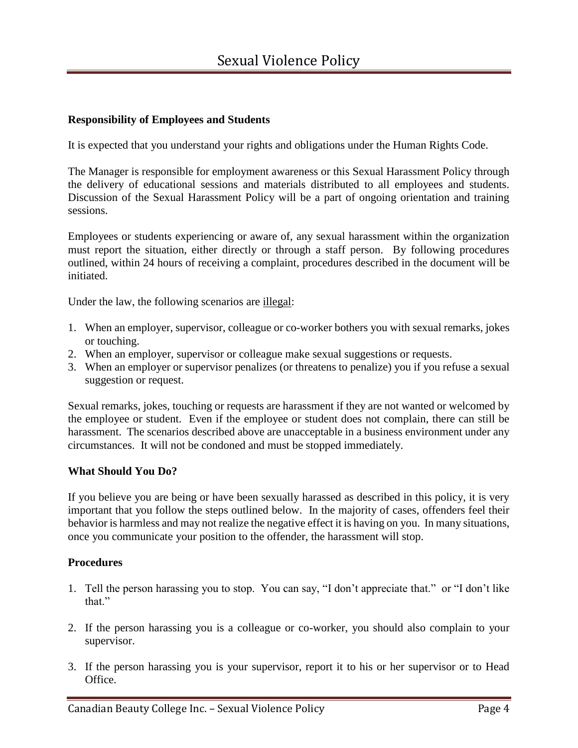# **Responsibility of Employees and Students**

It is expected that you understand your rights and obligations under the Human Rights Code.

The Manager is responsible for employment awareness or this Sexual Harassment Policy through the delivery of educational sessions and materials distributed to all employees and students. Discussion of the Sexual Harassment Policy will be a part of ongoing orientation and training sessions.

Employees or students experiencing or aware of, any sexual harassment within the organization must report the situation, either directly or through a staff person. By following procedures outlined, within 24 hours of receiving a complaint, procedures described in the document will be initiated.

Under the law, the following scenarios are illegal:

- 1. When an employer, supervisor, colleague or co-worker bothers you with sexual remarks, jokes or touching.
- 2. When an employer, supervisor or colleague make sexual suggestions or requests.
- 3. When an employer or supervisor penalizes (or threatens to penalize) you if you refuse a sexual suggestion or request.

Sexual remarks, jokes, touching or requests are harassment if they are not wanted or welcomed by the employee or student. Even if the employee or student does not complain, there can still be harassment. The scenarios described above are unacceptable in a business environment under any circumstances. It will not be condoned and must be stopped immediately.

#### **What Should You Do?**

If you believe you are being or have been sexually harassed as described in this policy, it is very important that you follow the steps outlined below. In the majority of cases, offenders feel their behavior is harmless and may not realize the negative effect it is having on you. In many situations, once you communicate your position to the offender, the harassment will stop.

#### **Procedures**

- 1. Tell the person harassing you to stop. You can say, "I don't appreciate that." or "I don't like that."
- 2. If the person harassing you is a colleague or co-worker, you should also complain to your supervisor.
- 3. If the person harassing you is your supervisor, report it to his or her supervisor or to Head Office.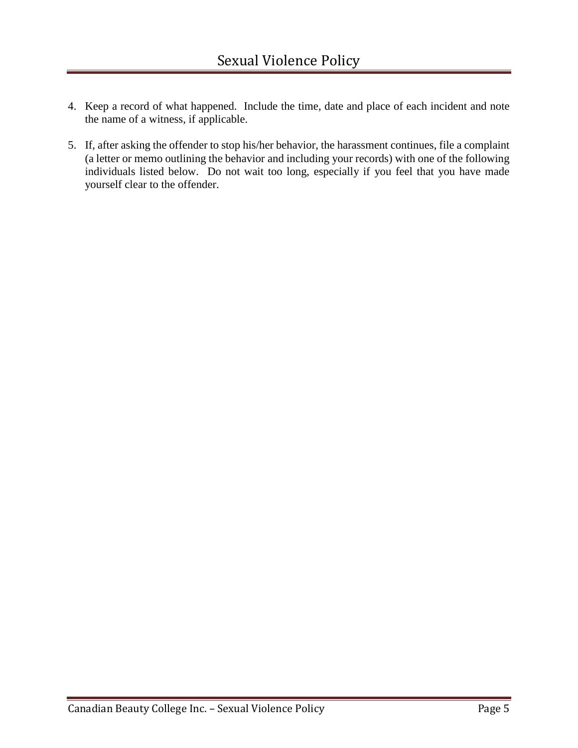- 4. Keep a record of what happened. Include the time, date and place of each incident and note the name of a witness, if applicable.
- 5. If, after asking the offender to stop his/her behavior, the harassment continues, file a complaint (a letter or memo outlining the behavior and including your records) with one of the following individuals listed below. Do not wait too long, especially if you feel that you have made yourself clear to the offender.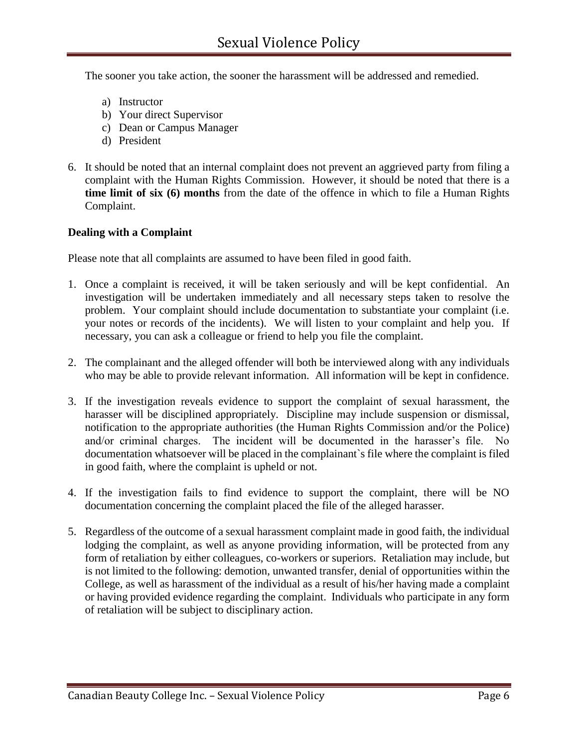The sooner you take action, the sooner the harassment will be addressed and remedied.

- a) Instructor
- b) Your direct Supervisor
- c) Dean or Campus Manager
- d) President
- 6. It should be noted that an internal complaint does not prevent an aggrieved party from filing a complaint with the Human Rights Commission. However, it should be noted that there is a **time limit of six (6) months** from the date of the offence in which to file a Human Rights Complaint.

## **Dealing with a Complaint**

Please note that all complaints are assumed to have been filed in good faith.

- 1. Once a complaint is received, it will be taken seriously and will be kept confidential. An investigation will be undertaken immediately and all necessary steps taken to resolve the problem. Your complaint should include documentation to substantiate your complaint (i.e. your notes or records of the incidents). We will listen to your complaint and help you. If necessary, you can ask a colleague or friend to help you file the complaint.
- 2. The complainant and the alleged offender will both be interviewed along with any individuals who may be able to provide relevant information. All information will be kept in confidence.
- 3. If the investigation reveals evidence to support the complaint of sexual harassment, the harasser will be disciplined appropriately. Discipline may include suspension or dismissal, notification to the appropriate authorities (the Human Rights Commission and/or the Police) and/or criminal charges. The incident will be documented in the harasser's file. No documentation whatsoever will be placed in the complainant`s file where the complaint is filed in good faith, where the complaint is upheld or not.
- 4. If the investigation fails to find evidence to support the complaint, there will be NO documentation concerning the complaint placed the file of the alleged harasser.
- 5. Regardless of the outcome of a sexual harassment complaint made in good faith, the individual lodging the complaint, as well as anyone providing information, will be protected from any form of retaliation by either colleagues, co-workers or superiors. Retaliation may include, but is not limited to the following: demotion, unwanted transfer, denial of opportunities within the College, as well as harassment of the individual as a result of his/her having made a complaint or having provided evidence regarding the complaint. Individuals who participate in any form of retaliation will be subject to disciplinary action.